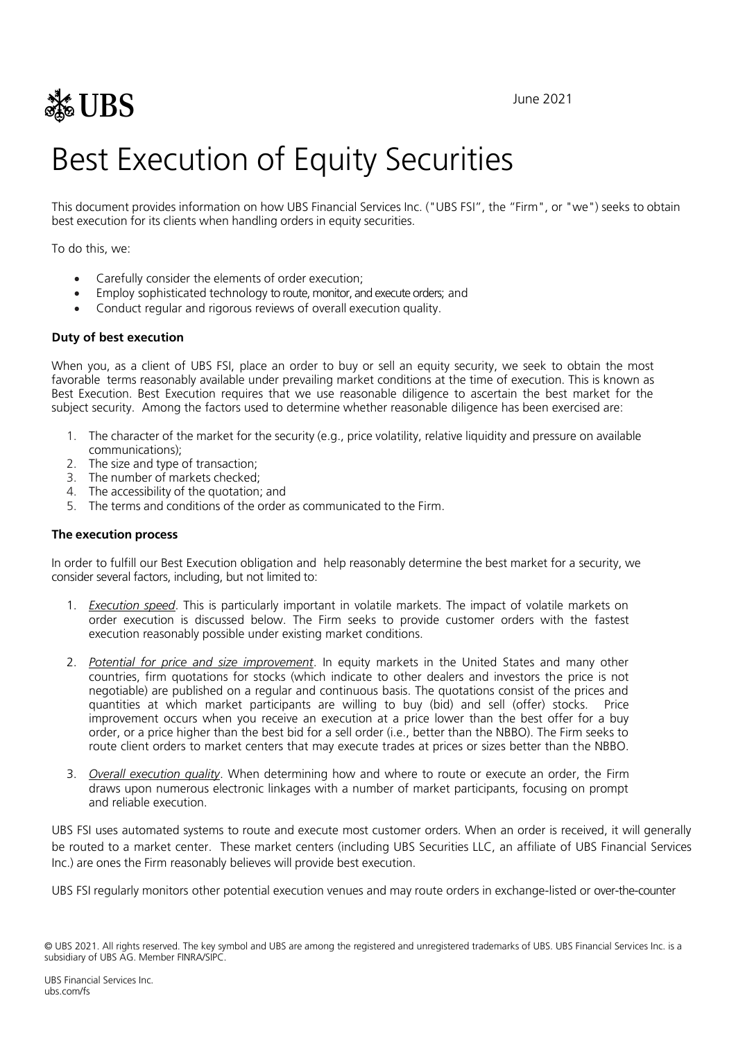$\frac{1}{200}$  June 2021

# Best Execution of Equity Securities

This document provides information on how UBS Financial Services Inc. ("UBS FSI", the "Firm", or "we") seeks to obtain best execution for its clients when handling orders in equity securities.

To do this, we:

- Carefully consider the elements of order execution;
- Employ sophisticated technology to route, monitor, and execute orders; and
- Conduct regular and rigorous reviews of overall execution quality.

## **Duty of best execution**

When you, as a client of UBS FSI, place an order to buy or sell an equity security, we seek to obtain the most favorable terms reasonably available under prevailing market conditions at the time of execution. This is known as Best Execution. Best Execution requires that we use reasonable diligence to ascertain the best market for the subject security. Among the factors used to determine whether reasonable diligence has been exercised are:

- 1. The character of the market for the security (e.g., price volatility, relative liquidity and pressure on available communications);
- 2. The size and type of transaction;
- 3. The number of markets checked;
- 4. The accessibility of the quotation; and
- 5. The terms and conditions of the order as communicated to the Firm.

### **The execution process**

In order to fulfill our Best Execution obligation and help reasonably determine the best market for a security, we consider several factors, including, but not limited to:

- 1. *Execution speed*. This is particularly important in volatile markets. The impact of volatile markets on order execution is discussed below. The Firm seeks to provide customer orders with the fastest execution reasonably possible under existing market conditions.
- 2. *Potential for price and size improvement*. In equity markets in the United States and many other countries, firm quotations for stocks (which indicate to other dealers and investors the price is not negotiable) are published on a regular and continuous basis. The quotations consist of the prices and quantities at which market participants are willing to buy (bid) and sell (offer) stocks. Price improvement occurs when you receive an execution at a price lower than the best offer for a buy order, or a price higher than the best bid for a sell order (i.e., better than the NBBO). The Firm seeks to route client orders to market centers that may execute trades at prices or sizes better than the NBBO.
- 3. *Overall execution quality*. When determining how and where to route or execute an order, the Firm draws upon numerous electronic linkages with a number of market participants, focusing on prompt and reliable execution.

UBS FSI uses automated systems to route and execute most customer orders. When an order is received, it will generally be routed to a market center. These market centers (including UBS Securities LLC, an affiliate of UBS Financial Services Inc.) are ones the Firm reasonably believes will provide best execution.

UBS FSI regularly monitors other potential execution venues and may route orders in exchange-listed or over-the-counter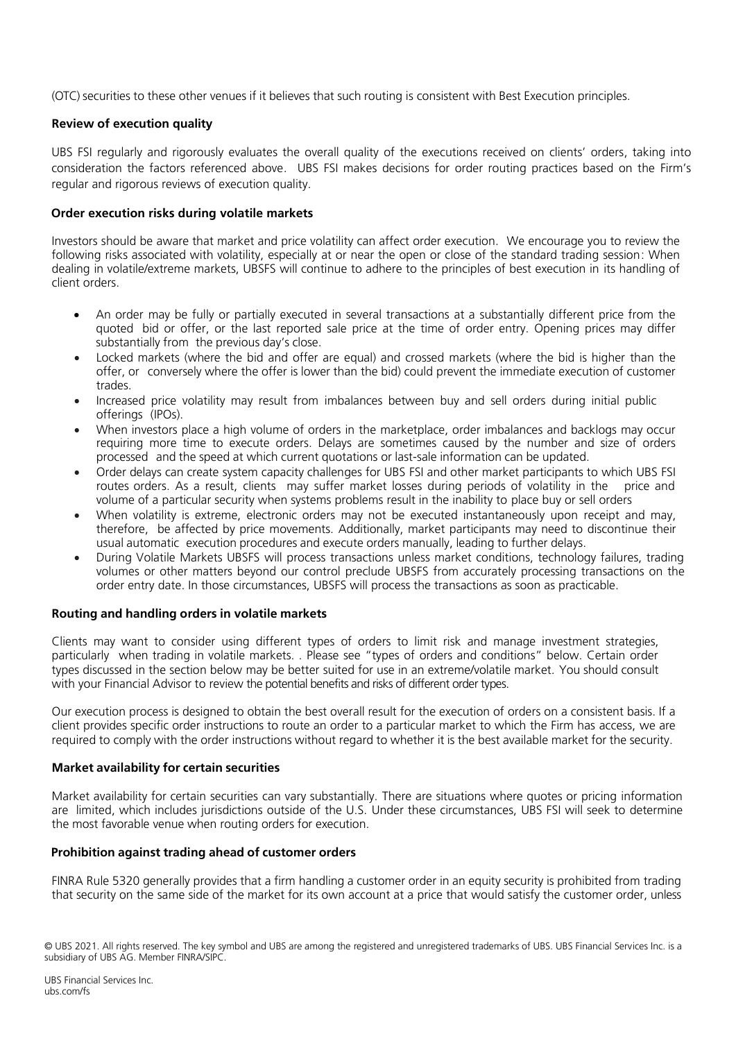(OTC) securities to these other venues if it believes that such routing is consistent with Best Execution principles.

# **Review of execution quality**

UBS FSI regularly and rigorously evaluates the overall quality of the executions received on clients' orders, taking into consideration the factors referenced above. UBS FSI makes decisions for order routing practices based on the Firm's regular and rigorous reviews of execution quality.

# **Order execution risks during volatile markets**

Investors should be aware that market and price volatility can affect order execution. We encourage you to review the following risks associated with volatility, especially at or near the open or close of the standard trading session: When dealing in volatile/extreme markets, UBSFS will continue to adhere to the principles of best execution in its handling of client orders.

- An order may be fully or partially executed in several transactions at a substantially different price from the quoted bid or offer, or the last reported sale price at the time of order entry. Opening prices may differ substantially from the previous day's close.
- Locked markets (where the bid and offer are equal) and crossed markets (where the bid is higher than the offer, or conversely where the offer is lower than the bid) could prevent the immediate execution of customer trades.
- Increased price volatility may result from imbalances between buy and sell orders during initial public offerings (IPOs).
- When investors place a high volume of orders in the marketplace, order imbalances and backlogs may occur requiring more time to execute orders. Delays are sometimes caused by the number and size of orders processed and the speed at which current quotations or last-sale information can be updated.
- Order delays can create system capacity challenges for UBS FSI and other market participants to which UBS FSI routes orders. As a result, clients may suffer market losses during periods of volatility in the price and volume of a particular security when systems problems result in the inability to place buy or sell orders
- When volatility is extreme, electronic orders may not be executed instantaneously upon receipt and may, therefore, be affected by price movements. Additionally, market participants may need to discontinue their usual automatic execution procedures and execute orders manually, leading to further delays.
- During Volatile Markets UBSFS will process transactions unless market conditions, technology failures, trading volumes or other matters beyond our control preclude UBSFS from accurately processing transactions on the order entry date. In those circumstances, UBSFS will process the transactions as soon as practicable.

## **Routing and handling orders in volatile markets**

Clients may want to consider using different types of orders to limit risk and manage investment strategies, particularly when trading in volatile markets. . Please see "types of orders and conditions" below. Certain order types discussed in the section below may be better suited for use in an extreme/volatile market. You should consult with your Financial Advisor to review the potential benefits and risks of different order types.

Our execution process is designed to obtain the best overall result for the execution of orders on a consistent basis. If a client provides specific order instructions to route an order to a particular market to which the Firm has access, we are required to comply with the order instructions without regard to whether it is the best available market for the security.

## **Market availability for certain securities**

Market availability for certain securities can vary substantially. There are situations where quotes or pricing information are limited, which includes jurisdictions outside of the U.S. Under these circumstances, UBS FSI will seek to determine the most favorable venue when routing orders for execution.

## **Prohibition against trading ahead of customer orders**

FINRA Rule 5320 generally provides that a firm handling a customer order in an equity security is prohibited from trading that security on the same side of the market for its own account at a price that would satisfy the customer order, unless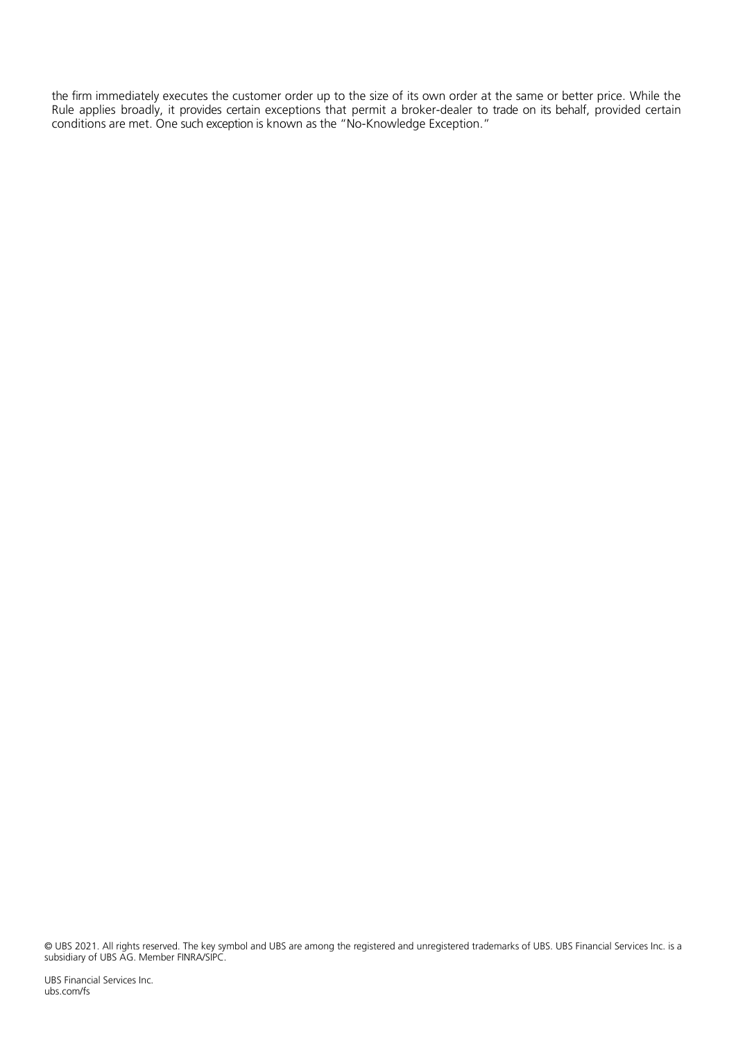the firm immediately executes the customer order up to the size of its own order at the same or better price. While the Rule applies broadly, it provides certain exceptions that permit a broker-dealer to trade on its behalf, provided certain conditions are met. One such exception is known as the "No-Knowledge Exception."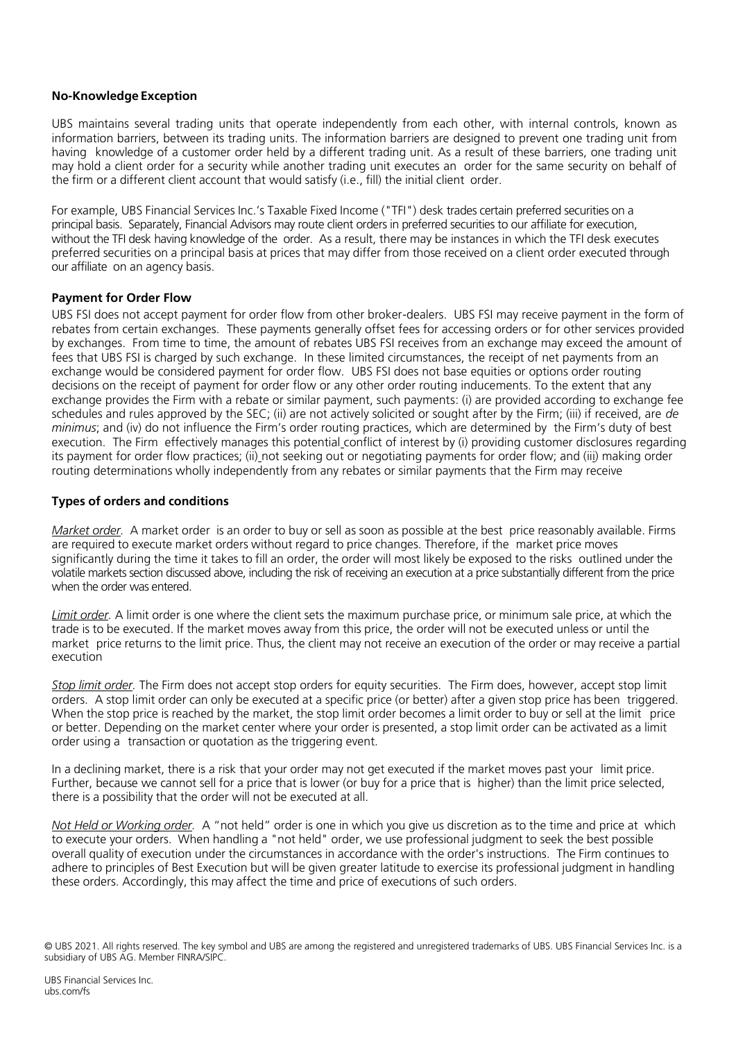## **No-Knowledge Exception**

UBS maintains several trading units that operate independently from each other, with internal controls, known as information barriers, between its trading units. The information barriers are designed to prevent one trading unit from having knowledge of a customer order held by a different trading unit. As a result of these barriers, one trading unit may hold a client order for a security while another trading unit executes an order for the same security on behalf of the firm or a different client account that would satisfy (i.e., fill) the initial client order.

For example, UBS Financial Services Inc.'s Taxable Fixed Income ("TFI") desk trades certain preferred securities on a principal basis. Separately, Financial Advisors may route client orders in preferred securities to our affiliate for execution, without the TFI desk having knowledge of the order. As a result, there may be instances in which the TFI desk executes preferred securities on a principal basis at prices that may differ from those received on a client order executed through our affiliate on an agency basis.

#### **Payment for Order Flow**

UBS FSI does not accept payment for order flow from other broker-dealers. UBS FSI may receive payment in the form of rebates from certain exchanges. These payments generally offset fees for accessing orders or for other services provided by exchanges. From time to time, the amount of rebates UBS FSI receives from an exchange may exceed the amount of fees that UBS FSI is charged by such exchange. In these limited circumstances, the receipt of net payments from an exchange would be considered payment for order flow. UBS FSI does not base equities or options order routing decisions on the receipt of payment for order flow or any other order routing inducements. To the extent that any exchange provides the Firm with a rebate or similar payment, such payments: (i) are provided according to exchange fee schedules and rules approved by the SEC; (ii) are not actively solicited or sought after by the Firm; (iii) if received, are *de minimus*; and (iv) do not influence the Firm's order routing practices, which are determined by the Firm's duty of best execution. The Firm effectively manages this potential conflict of interest by (i) providing customer disclosures regarding its payment for order flow practices; (ii) not seeking out or negotiating payments for order flow; and (iii) making order routing determinations wholly independently from any rebates or similar payments that the Firm may receive

## **Types of orders and conditions**

*Market order.* A market order is an order to buy or sell as soon as possible at the best price reasonably available. Firms are required to execute market orders without regard to price changes. Therefore, if the market price moves significantly during the time it takes to fill an order, the order will most likely be exposed to the risks outlined under the volatile markets section discussed above, including the risk of receiving an execution at a price substantially different from the price when the order was entered.

*Limit order.* A limit order is one where the client sets the maximum purchase price, or minimum sale price, at which the trade is to be executed. If the market moves away from this price, the order will not be executed unless or until the market price returns to the limit price. Thus, the client may not receive an execution of the order or may receive a partial execution

*Stop limit order.* The Firm does not accept stop orders for equity securities. The Firm does, however, accept stop limit orders.A stop limit order can only be executed at a specific price (or better) after a given stop price has been triggered. When the stop price is reached by the market, the stop limit order becomes a limit order to buy or sell at the limit price or better. Depending on the market center where your order is presented, a stop limit order can be activated as a limit order using a transaction or quotation as the triggering event.

In a declining market, there is a risk that your order may not get executed if the market moves past your limit price. Further, because we cannot sell for a price that is lower (or buy for a price that is higher) than the limit price selected, there is a possibility that the order will not be executed at all.

*Not Held or Working order.* A "not held" order is one in which you give us discretion as to the time and price at which to execute your orders. When handling a "not held" order, we use professional judgment to seek the best possible overall quality of execution under the circumstances in accordance with the order's instructions. The Firm continues to adhere to principles of Best Execution but will be given greater latitude to exercise its professional judgment in handling these orders. Accordingly, this may affect the time and price of executions of such orders.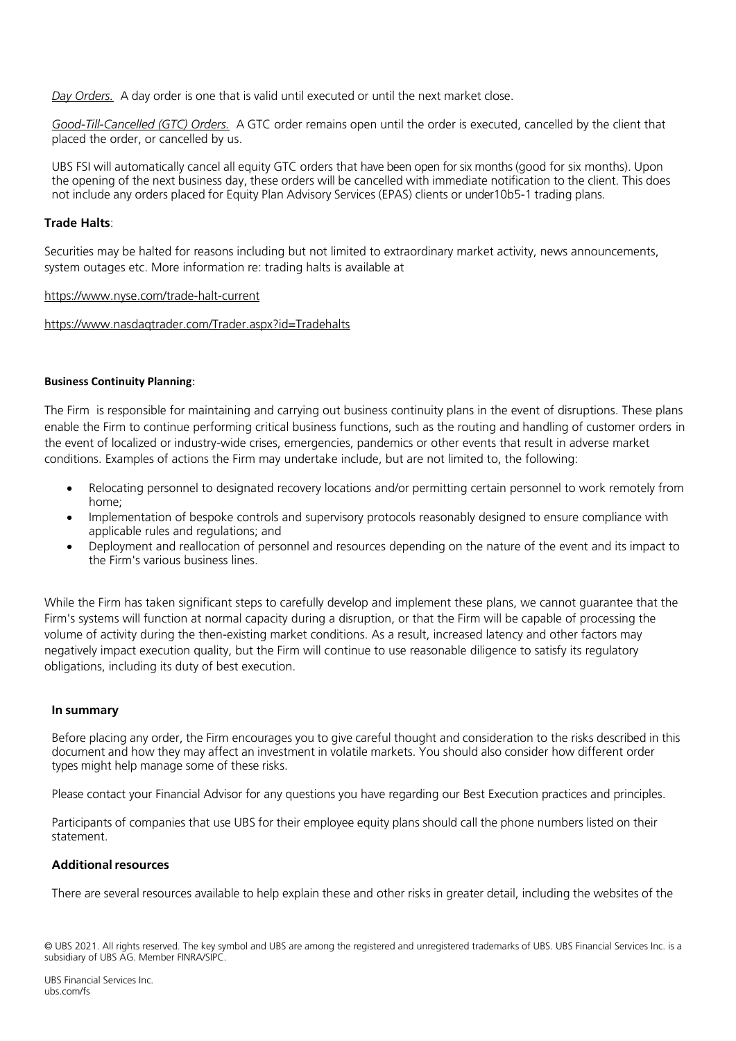*Day Orders.*A day order is one that is valid until executed or until the next market close.

*Good-Till-Cancelled (GTC) Orders.*A GTC order remains open until the order is executed, cancelled by the client that placed the order, or cancelled by us.

UBS FSI will automatically cancel all equity GTC orders that have been open for six months (good for six months). Upon the opening of the next business day, these orders will be cancelled with immediate notification to the client. This does not include any orders placed for Equity Plan Advisory Services (EPAS) clients or under10b5-1 trading plans.

### **Trade Halts**:

Securities may be halted for reasons including but not limited to extraordinary market activity, news announcements, system outages etc. More information re: trading halts is available at

#### <https://www.nyse.com/trade-halt-current>

<https://www.nasdaqtrader.com/Trader.aspx?id=Tradehalts>

#### **Business Continuity Planning**:

The Firm is responsible for maintaining and carrying out business continuity plans in the event of disruptions. These plans enable the Firm to continue performing critical business functions, such as the routing and handling of customer orders in the event of localized or industry-wide crises, emergencies, pandemics or other events that result in adverse market conditions. Examples of actions the Firm may undertake include, but are not limited to, the following:

- Relocating personnel to designated recovery locations and/or permitting certain personnel to work remotely from home;
- Implementation of bespoke controls and supervisory protocols reasonably designed to ensure compliance with applicable rules and regulations; and
- Deployment and reallocation of personnel and resources depending on the nature of the event and its impact to the Firm's various business lines.

While the Firm has taken significant steps to carefully develop and implement these plans, we cannot guarantee that the Firm's systems will function at normal capacity during a disruption, or that the Firm will be capable of processing the volume of activity during the then-existing market conditions. As a result, increased latency and other factors may negatively impact execution quality, but the Firm will continue to use reasonable diligence to satisfy its regulatory obligations, including its duty of best execution*.* 

#### **In summary**

Before placing any order, the Firm encourages you to give careful thought and consideration to the risks described in this document and how they may affect an investment in volatile markets. You should also consider how different order types might help manage some of these risks.

Please contact your Financial Advisor for any questions you have regarding our Best Execution practices and principles.

Participants of companies that use UBS for their employee equity plans should call the phone numbers listed on their statement.

#### **Additionalresources**

There are several resources available to help explain these and other risks in greater detail, including the websites of the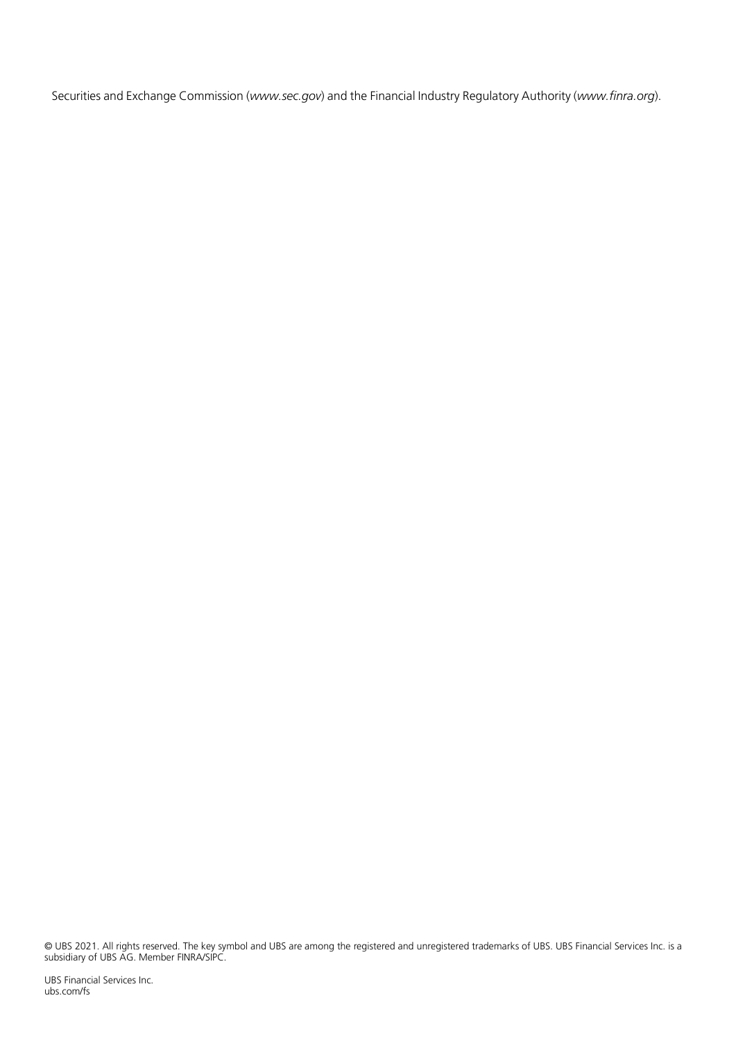Securities and Exchange Commission (*www.sec.gov*) and the Financial Industry Regulatory Authority (*www.finra.org*).